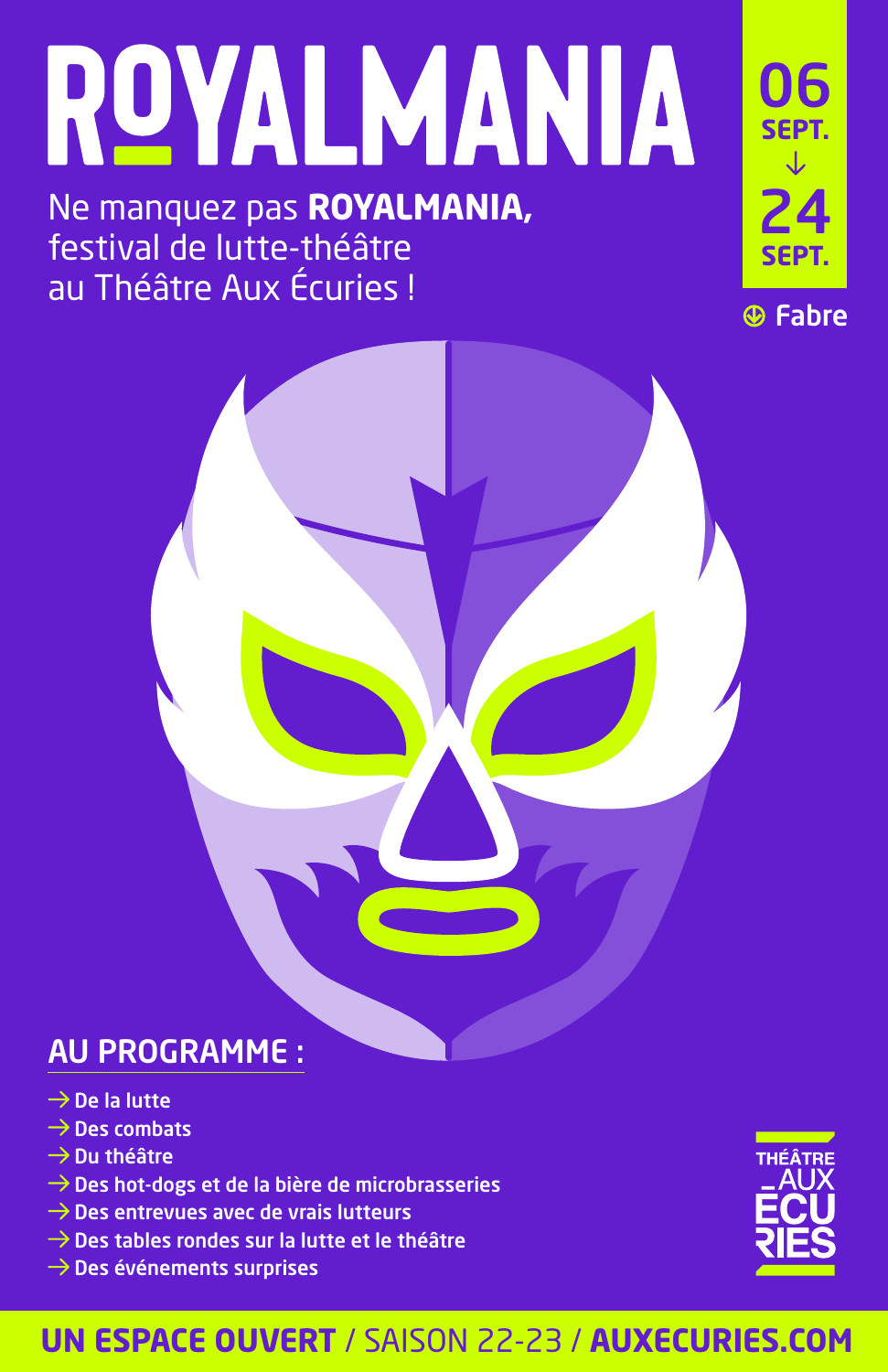# ROYALMANIA

#### Ne manquez pas **ROYALMANIA,** festival de lutte-théâtre au Théâtre Aux Écuries !





#### AU PROGRAMME :

- $\rightarrow$  De la lutte
- $\rightarrow$  Des combats
- $\rightarrow$  Du théâtre
- $\rightarrow$  Des hot-dogs et de la bière de microbrasseries
- $\rightarrow$  Des entrevues avec de vrais lutteurs
- $\rightarrow$  Des tables rondes sur la lutte et le théâtre
- $\rightarrow$  Des événements surprises



#### **UN ESPACE OUVERT** / SAISON 22-23 / **AUXECURIES.COM**